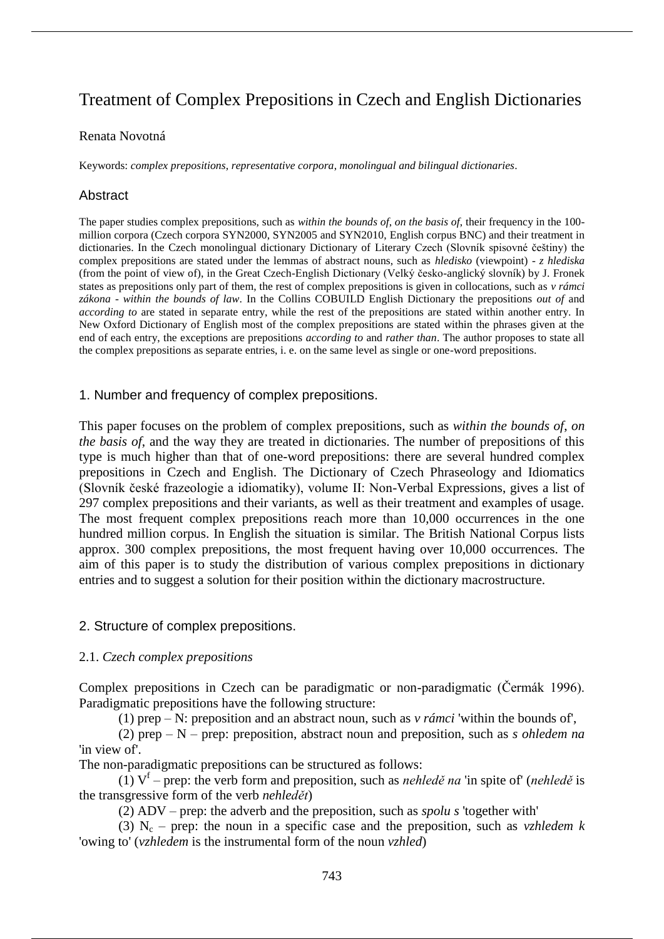# Treatment of Complex Prepositions in Czech and English Dictionaries

#### Renata Novotná

Keywords: *complex prepositions*, *representative corpora*, *monolingual and bilingual dictionaries*.

#### Abstract

The paper studies complex prepositions, such as *within the bounds of*, *on the basis of*, their frequency in the 100 million corpora (Czech corpora SYN2000, SYN2005 and SYN2010, English corpus BNC) and their treatment in dictionaries. In the Czech monolingual dictionary Dictionary of Literary Czech (Slovník spisovné češtiny) the complex prepositions are stated under the lemmas of abstract nouns, such as *hledisko* (viewpoint) - *z hlediska* (from the point of view of), in the Great Czech-English Dictionary (Velký česko-anglický slovník) by J. Fronek states as prepositions only part of them, the rest of complex prepositions is given in collocations, such as *v rámci zákona* - *within the bounds of law*. In the Collins COBUILD English Dictionary the prepositions *out of* and *according to* are stated in separate entry, while the rest of the prepositions are stated within another entry. In New Oxford Dictionary of English most of the complex prepositions are stated within the phrases given at the end of each entry, the exceptions are prepositions *according to* and *rather than*. The author proposes to state all the complex prepositions as separate entries, i. e. on the same level as single or one-word prepositions.

#### 1. Number and frequency of complex prepositions.

This paper focuses on the problem of complex prepositions, such as *within the bounds of*, *on the basis of*, and the way they are treated in dictionaries. The number of prepositions of this type is much higher than that of one-word prepositions: there are several hundred complex prepositions in Czech and English. The Dictionary of Czech Phraseology and Idiomatics (Slovník české frazeologie a idiomatiky), volume II: Non-Verbal Expressions, gives a list of 297 complex prepositions and their variants, as well as their treatment and examples of usage. The most frequent complex prepositions reach more than 10,000 occurrences in the one hundred million corpus. In English the situation is similar. The British National Corpus lists approx. 300 complex prepositions, the most frequent having over 10,000 occurrences. The aim of this paper is to study the distribution of various complex prepositions in dictionary entries and to suggest a solution for their position within the dictionary macrostructure.

#### 2. Structure of complex prepositions.

#### 2.1. *Czech complex prepositions*

Complex prepositions in Czech can be paradigmatic or non-paradigmatic (Čermák 1996). Paradigmatic prepositions have the following structure:

(1) prep – N: preposition and an abstract noun, such as *v rámci* 'within the bounds of',

(2) prep – N – prep: preposition, abstract noun and preposition, such as *s ohledem na* 'in view of'.

The non-paradigmatic prepositions can be structured as follows:

 $(1)$   $V<sup>f</sup>$  – prep: the verb form and preposition, such as *nehledě na* 'in spite of' (*nehledě* is the transgressive form of the verb *nehledět*)

(2) ADV – prep: the adverb and the preposition, such as *spolu s* 'together with'

(3)  $N_c$  – prep: the noun in a specific case and the preposition, such as *vzhledem k* 'owing to' (*vzhledem* is the instrumental form of the noun *vzhled*)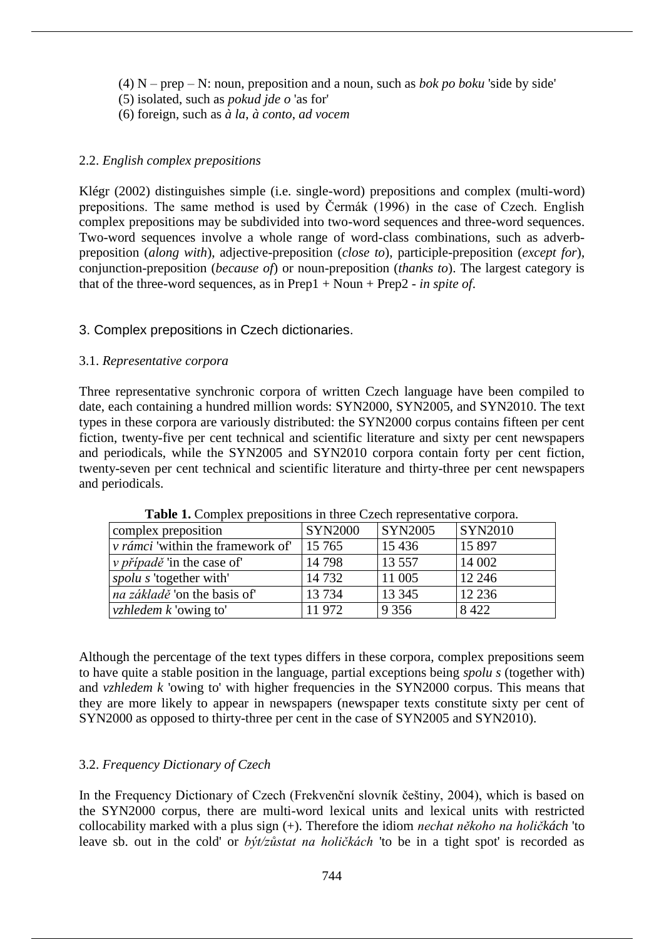- $(4)$  N prep N: noun, preposition and a noun, such as *bok po boku* 'side by side'
- (5) isolated, such as *pokud jde o* 'as for'
- (6) foreign, such as *à la*, *à conto*, *ad vocem*

# 2.2. *English complex prepositions*

Klégr (2002) distinguishes simple (i.e. single-word) prepositions and complex (multi-word) prepositions. The same method is used by Čermák (1996) in the case of Czech. English complex prepositions may be subdivided into two-word sequences and three-word sequences. Two-word sequences involve a whole range of word-class combinations, such as adverbpreposition (*along with*), adjective-preposition (*close to*), participle-preposition (*except for*), conjunction-preposition (*because of*) or noun-preposition (*thanks to*). The largest category is that of the three-word sequences, as in Prep1 + Noun + Prep2 - *in spite of*.

# 3. Complex prepositions in Czech dictionaries.

# 3.1. *Representative corpora*

Three representative synchronic corpora of written Czech language have been compiled to date, each containing a hundred million words: SYN2000, SYN2005, and SYN2010. The text types in these corpora are variously distributed: the SYN2000 corpus contains fifteen per cent fiction, twenty-five per cent technical and scientific literature and sixty per cent newspapers and periodicals, while the SYN2005 and SYN2010 corpora contain forty per cent fiction, twenty-seven per cent technical and scientific literature and thirty-three per cent newspapers and periodicals.

| complex preposition                      | <b>SYN2000</b> | <b>SYN2005</b> | <b>SYN2010</b> |
|------------------------------------------|----------------|----------------|----------------|
| <i>v</i> rámci 'within the framework of' | 15 765         | 15 4 36        | 15 8 97        |
| <i>v případě</i> 'in the case of'        | 14798          | 13 5 5 7       | 14 002         |
| <i>spolu s</i> 'together with'           | 14732          | 11 005         | 12 24 6        |
| <i>na základě</i> 'on the basis of'      | 13 7 34        | 13 3 45        | 12 2 36        |
| <i>vzhledem k</i> 'owing to'             | 11972          | 9 3 5 6        | 8 4 2 2        |

Table 1. Complex prepositions in three Czech representative corpora.

Although the percentage of the text types differs in these corpora, complex prepositions seem to have quite a stable position in the language, partial exceptions being *spolu s* (together with) and *vzhledem k* 'owing to' with higher frequencies in the SYN2000 corpus. This means that they are more likely to appear in newspapers (newspaper texts constitute sixty per cent of SYN2000 as opposed to thirty-three per cent in the case of SYN2005 and SYN2010).

# 3.2. *Frequency Dictionary of Czech*

In the Frequency Dictionary of Czech (Frekvenční slovník češtiny, 2004), which is based on the SYN2000 corpus, there are multi-word lexical units and lexical units with restricted collocability marked with a plus sign (+). Therefore the idiom *nechat někoho na holičkách* 'to leave sb. out in the cold' or *být/zůstat na holičkách* 'to be in a tight spot' is recorded as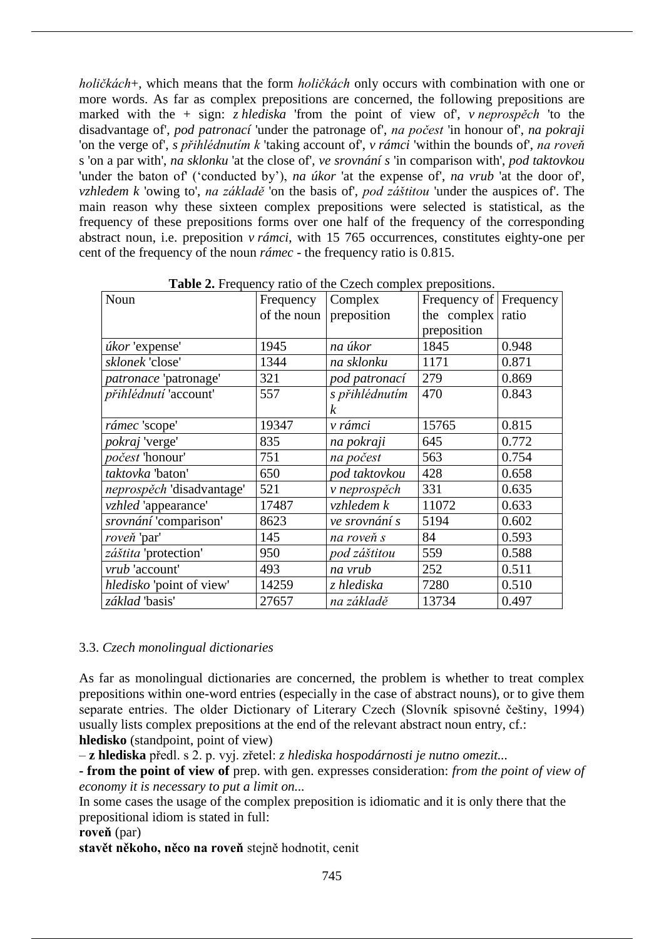*holičkách*+, which means that the form *holičkách* only occurs with combination with one or more words. As far as complex prepositions are concerned, the following prepositions are marked with the + sign: *z hlediska* 'from the point of view of', *v neprospěch* 'to the disadvantage of', *pod patronací* 'under the patronage of', *na počest* 'in honour of', *na pokraji* 'on the verge of', *s přihlédnutím k* 'taking account of', *v rámci* 'within the bounds of', *na roveň* s 'on a par with', *na sklonku* 'at the close of', *ve srovnání s* 'in comparison with', *pod taktovkou* 'under the baton of' ('conducted by'), *na úkor* 'at the expense of', *na vrub* 'at the door of', *vzhledem k* 'owing to', *na základě* 'on the basis of', *pod záštitou* 'under the auspices of'. The main reason why these sixteen complex prepositions were selected is statistical, as the frequency of these prepositions forms over one half of the frequency of the corresponding abstract noun, i.e. preposition *v rámci*, with 15 765 occurrences, constitutes eighty-one per cent of the frequency of the noun *rámec* - the frequency ratio is 0.815.

| Noun                      | Frequency   | <b>Example 2.</b> Frequency ratio of the execut complex prepositions.<br>Complex | Frequency of Frequency |       |
|---------------------------|-------------|----------------------------------------------------------------------------------|------------------------|-------|
|                           |             |                                                                                  |                        |       |
|                           | of the noun | preposition                                                                      | the complex            | ratio |
|                           |             |                                                                                  | preposition            |       |
| úkor 'expense'            | 1945        | na úkor                                                                          | 1845                   | 0.948 |
| sklonek 'close'           | 1344        | na sklonku                                                                       | 1171                   | 0.871 |
| patronace 'patronage'     | 321         | pod patronací                                                                    | 279                    | 0.869 |
| přihlédnutí 'account'     | 557         | s přihlédnutím                                                                   | 470                    | 0.843 |
|                           |             | $\boldsymbol{k}$                                                                 |                        |       |
| rámec 'scope'             | 19347       | v rámci                                                                          | 15765                  | 0.815 |
| pokraj 'verge'            | 835         | na pokraji                                                                       | 645                    | 0.772 |
| počest 'honour'           | 751         | na počest                                                                        | 563                    | 0.754 |
| taktovka 'baton'          | 650         | pod taktovkou                                                                    | 428                    | 0.658 |
| neprospěch 'disadvantage' | 521         | v neprospěch                                                                     | 331                    | 0.635 |
| vzhled 'appearance'       | 17487       | vzhledem k                                                                       | 11072                  | 0.633 |
| srovnání 'comparison'     | 8623        | ve srovnání s                                                                    | 5194                   | 0.602 |
| roveň 'par'               | 145         | na roveň s                                                                       | 84                     | 0.593 |
| záštita 'protection'      | 950         | pod záštitou                                                                     | 559                    | 0.588 |
| vrub 'account'            | 493         | na vrub                                                                          | 252                    | 0.511 |
| hledisko 'point of view'  | 14259       | z hlediska                                                                       | 7280                   | 0.510 |
| základ 'basis'            | 27657       | na základě                                                                       | 13734                  | 0.497 |

**Table 2.** Frequency ratio of the Czech complex prepositions.

# 3.3. *Czech monolingual dictionaries*

As far as monolingual dictionaries are concerned, the problem is whether to treat complex prepositions within one-word entries (especially in the case of abstract nouns), or to give them separate entries. The older Dictionary of Literary Czech (Slovník spisovné češtiny, 1994) usually lists complex prepositions at the end of the relevant abstract noun entry, cf.: **hledisko** (standpoint, point of view)

– **z hlediska** předl. s 2. p. vyj. zřetel: *z hlediska hospodárnosti je nutno omezit...*

**- from the point of view of** prep. with gen. expresses consideration: *from the point of view of economy it is necessary to put a limit on...*

In some cases the usage of the complex preposition is idiomatic and it is only there that the prepositional idiom is stated in full:

**roveň** (par)

**stavět někoho, něco na roveň** stejně hodnotit, cenit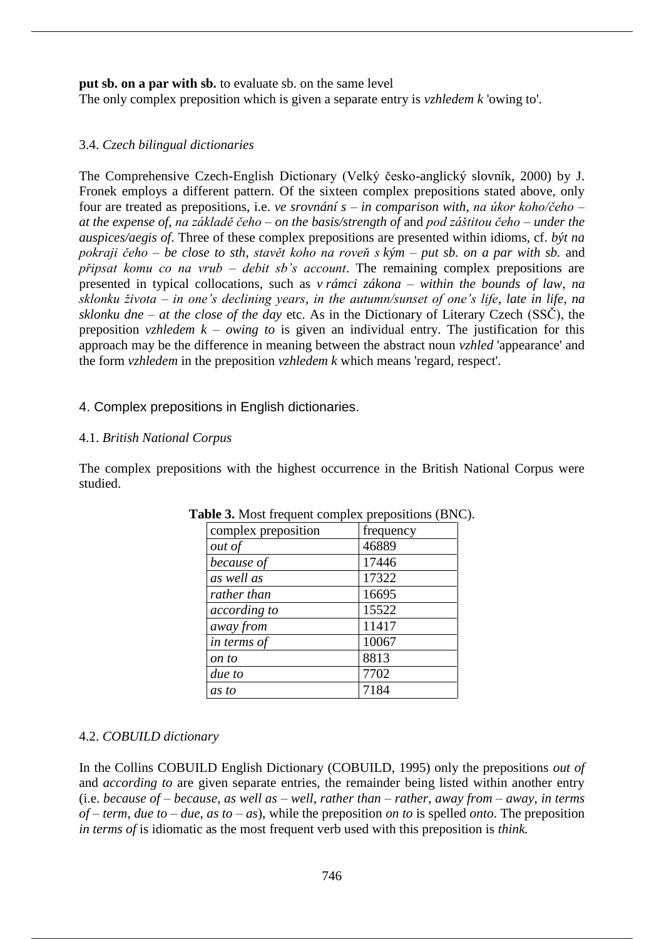**put sb. on a par with sb.** to evaluate sb. on the same level

The only complex preposition which is given a separate entry is *vzhledem k* 'owing to'.

# 3.4. *Czech bilingual dictionaries*

The Comprehensive Czech-English Dictionary (Velký česko-anglický slovník, 2000) by J. Fronek employs a different pattern. Of the sixteen complex prepositions stated above, only four are treated as prepositions, i.e. *ve srovnání s* – *in comparison with*, *na úkor koho/čeho* – *at the expense of*, *na základě čeho* – *on the basis/strength of* and *pod záštitou čeho* – *under the auspices/aegis of*. Three of these complex prepositions are presented within idioms, cf. *být na pokraji čeho* – *be close to sth*, *stavět koho na roveň s kým* – *put sb. on a par with sb.* and *připsat komu co na vrub* – *debit sb's account*. The remaining complex prepositions are presented in typical collocations, such as *v rámci zákona* – *within the bounds of law*, *na sklonku života* – *in one's declining years*, *in the autumn/sunset of one's life*, *late in life*, *na sklonku dne* – *at the close of the day* etc. As in the Dictionary of Literary Czech (SSČ), the preposition *vzhledem k* – *owing to* is given an individual entry. The justification for this approach may be the difference in meaning between the abstract noun *vzhled* 'appearance' and the form *vzhledem* in the preposition *vzhledem k* which means 'regard, respect'.

# 4. Complex prepositions in English dictionaries.

# 4.1. *British National Corpus*

The complex prepositions with the highest occurrence in the British National Corpus were studied.

| complex preposition | frequency |
|---------------------|-----------|
| out of              | 46889     |
| because of          | 17446     |
| as well as          | 17322     |
| rather than         | 16695     |
| according to        | 15522     |
| away from           | 11417     |
| in terms of         | 10067     |
| on to               | 8813      |
| due to              | 7702      |
| as to               | 7184      |

| Table 3. Most frequent complex prepositions (BNC). |  |
|----------------------------------------------------|--|
|----------------------------------------------------|--|

# 4.2. *COBUILD dictionary*

In the Collins COBUILD English Dictionary (COBUILD, 1995) only the prepositions *out of* and *according to* are given separate entries, the remainder being listed within another entry (i.e. *because of* – *because*, *as well as* – *well*, *rather than* – *rather*, *away from* – *away*, *in terms of* – *term*, *due to* – *due*, *as to* – *as*), while the preposition *on to* is spelled *onto*. The preposition *in terms of* is idiomatic as the most frequent verb used with this preposition is *think.*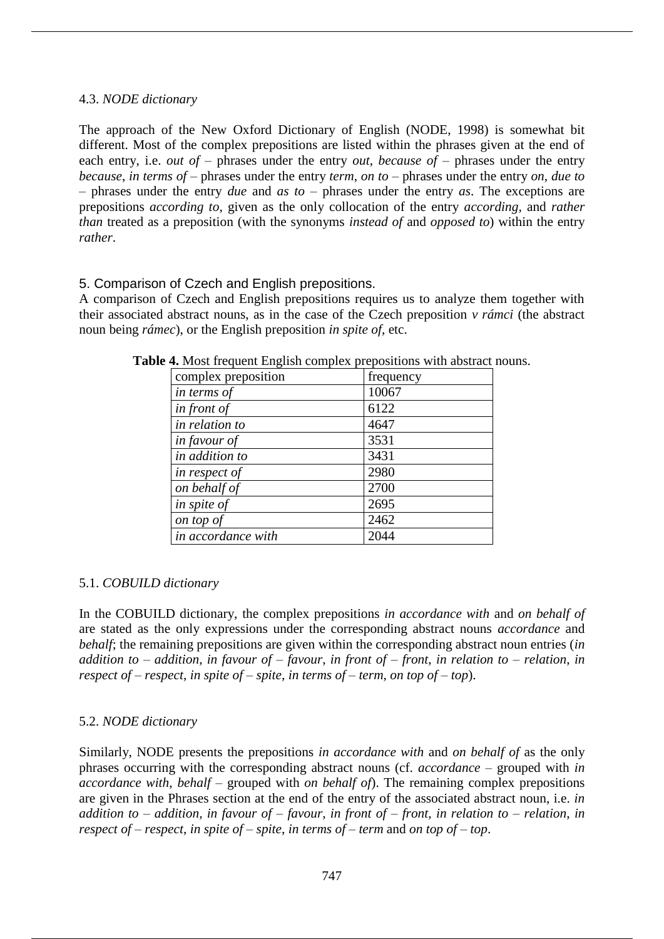# 4.3. *NODE dictionary*

The approach of the New Oxford Dictionary of English (NODE, 1998) is somewhat bit different. Most of the complex prepositions are listed within the phrases given at the end of each entry, i.e. *out of* – phrases under the entry *out*, *because of* – phrases under the entry *because*, *in terms of* – phrases under the entry *term*, *on to* – phrases under the entry *on*, *due to* – phrases under the entry *due* and *as to* – phrases under the entry *as*. The exceptions are prepositions *according to*, given as the only collocation of the entry *according,* and *rather than* treated as a preposition (with the synonyms *instead of* and *opposed to*) within the entry *rather*.

#### 5. Comparison of Czech and English prepositions.

A comparison of Czech and English prepositions requires us to analyze them together with their associated abstract nouns, as in the case of the Czech preposition *v rámci* (the abstract noun being *rámec*), or the English preposition *in spite of*, etc.

| complex preposition | frequency |
|---------------------|-----------|
| in terms of         | 10067     |
| in front of         | 6122      |
| in relation to      | 4647      |
| in favour of        | 3531      |
| in addition to      | 3431      |
| in respect of       | 2980      |
| on behalf of        | 2700      |
| in spite of         | 2695      |
| on top of           | 2462      |
| in accordance with  | 2044      |

**Table 4.** Most frequent English complex prepositions with abstract nouns.

# 5.1. *COBUILD dictionary*

In the COBUILD dictionary, the complex prepositions *in accordance with* and *on behalf of* are stated as the only expressions under the corresponding abstract nouns *accordance* and *behalf*; the remaining prepositions are given within the corresponding abstract noun entries (*in addition to* – *addition*, *in favour of* – *favour*, *in front of* – *front*, *in relation to* – *relation*, *in respect of* – *respect*, *in spite of* – *spite*, *in terms of* – *term*, *on top of* – *top*).

# 5.2. *NODE dictionary*

Similarly, NODE presents the prepositions *in accordance with* and *on behalf of* as the only phrases occurring with the corresponding abstract nouns (cf. *accordance* – grouped with *in accordance with*, *behalf* – grouped with *on behalf of*). The remaining complex prepositions are given in the Phrases section at the end of the entry of the associated abstract noun, i.e. *in addition to* – *addition, in favour of* – *favour*, *in front of* – *front*, *in relation to* – *relation*, *in respect of* – *respect*, *in spite of* – *spite*, *in terms of* – *term* and *on top of* – *top*.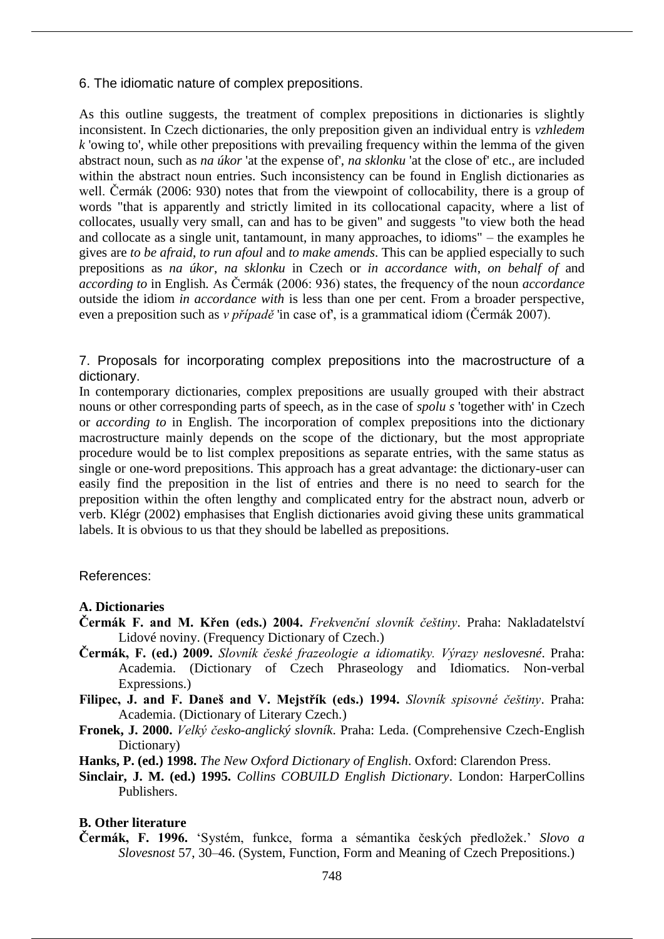6. The idiomatic nature of complex prepositions.

As this outline suggests, the treatment of complex prepositions in dictionaries is slightly inconsistent. In Czech dictionaries, the only preposition given an individual entry is *vzhledem k* 'owing to', while other prepositions with prevailing frequency within the lemma of the given abstract noun, such as *na úkor* 'at the expense of', *na sklonku* 'at the close of' etc., are included within the abstract noun entries. Such inconsistency can be found in English dictionaries as well. Čermák (2006: 930) notes that from the viewpoint of collocability, there is a group of words "that is apparently and strictly limited in its collocational capacity, where a list of collocates, usually very small, can and has to be given" and suggests "to view both the head and collocate as a single unit, tantamount, in many approaches, to idioms" – the examples he gives are *to be afraid*, *to run afoul* and *to make amends*. This can be applied especially to such prepositions as *na úkor*, *na sklonku* in Czech or *in accordance with*, *on behalf of* and *according to* in English*.* As Čermák (2006: 936) states, the frequency of the noun *accordance*  outside the idiom *in accordance with* is less than one per cent. From a broader perspective, even a preposition such as *v případě* 'in case of', is a grammatical idiom (Čermák 2007).

7. Proposals for incorporating complex prepositions into the macrostructure of a dictionary.

In contemporary dictionaries, complex prepositions are usually grouped with their abstract nouns or other corresponding parts of speech, as in the case of *spolu s* 'together with' in Czech or *according to* in English. The incorporation of complex prepositions into the dictionary macrostructure mainly depends on the scope of the dictionary, but the most appropriate procedure would be to list complex prepositions as separate entries, with the same status as single or one-word prepositions. This approach has a great advantage: the dictionary-user can easily find the preposition in the list of entries and there is no need to search for the preposition within the often lengthy and complicated entry for the abstract noun, adverb or verb. Klégr (2002) emphasises that English dictionaries avoid giving these units grammatical labels. It is obvious to us that they should be labelled as prepositions.

References:

#### **A. Dictionaries**

- **Čermák F. and M. Křen (eds.) 2004.** *Frekvenční slovník češtiny*. Praha: Nakladatelství Lidové noviny. (Frequency Dictionary of Czech.)
- **Čermák, F. (ed.) 2009.** *Slovník české frazeologie a idiomatiky. Výrazy neslovesné*. Praha: Academia. (Dictionary of Czech Phraseology and Idiomatics. Non-verbal Expressions.)

**Filipec, J. and F. Daneš and V. Mejstřík (eds.) 1994.** *Slovník spisovné češtiny*. Praha: Academia. (Dictionary of Literary Czech.)

- **Fronek, J. 2000.** *Velký česko-anglický slovník*. Praha: Leda. (Comprehensive Czech-English Dictionary)
- **Hanks, P. (ed.) 1998.** *The New Oxford Dictionary of English*. Oxford: Clarendon Press.
- **Sinclair, J. M. (ed.) 1995.** *Collins COBUILD English Dictionary*. London: HarperCollins Publishers.

#### **B. Other literature**

**Čermák, F. 1996.** 'Systém, funkce, forma a sémantika českých předložek.' *Slovo a Slovesnost* 57, 30–46. (System, Function, Form and Meaning of Czech Prepositions.)